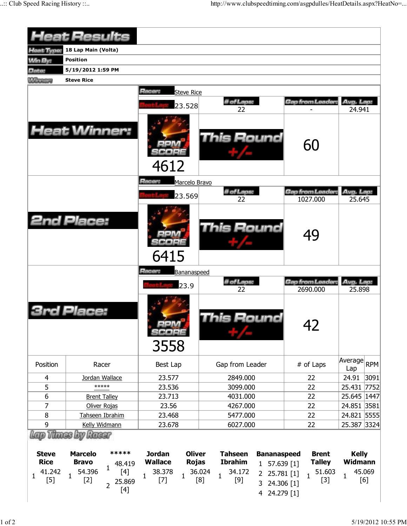|                                                     | <b>Heat Results</b>                                                                                                                     |                                                                                                                     |                                                                                                                                                                                 |                                                                  |                                                                 |
|-----------------------------------------------------|-----------------------------------------------------------------------------------------------------------------------------------------|---------------------------------------------------------------------------------------------------------------------|---------------------------------------------------------------------------------------------------------------------------------------------------------------------------------|------------------------------------------------------------------|-----------------------------------------------------------------|
| Heat Type:                                          | 18 Lap Main (Volta)                                                                                                                     |                                                                                                                     |                                                                                                                                                                                 |                                                                  |                                                                 |
| <b>Win By:</b>                                      | <b>Position</b>                                                                                                                         |                                                                                                                     |                                                                                                                                                                                 |                                                                  |                                                                 |
| Date:                                               | 5/19/2012 1:59 PM                                                                                                                       |                                                                                                                     |                                                                                                                                                                                 |                                                                  |                                                                 |
| <b>Manager</b>                                      | <b>Steve Rice</b>                                                                                                                       |                                                                                                                     |                                                                                                                                                                                 |                                                                  |                                                                 |
|                                                     |                                                                                                                                         | Racer:<br><b>Steve Rice</b>                                                                                         |                                                                                                                                                                                 |                                                                  |                                                                 |
|                                                     |                                                                                                                                         |                                                                                                                     | # of Laps:                                                                                                                                                                      | Gap from Leader.                                                 | Avg. Lap:                                                       |
|                                                     |                                                                                                                                         | 23.528                                                                                                              | 22                                                                                                                                                                              |                                                                  | 24.941                                                          |
|                                                     | <b>Heat Winner:</b>                                                                                                                     | 4612                                                                                                                | <b>This Round</b>                                                                                                                                                               | 60                                                               |                                                                 |
|                                                     |                                                                                                                                         | Racer:<br>Marcelo Bravo                                                                                             | # of Laps:                                                                                                                                                                      | Gap from Leader.                                                 | Avg. Lap:                                                       |
|                                                     |                                                                                                                                         | 23.569                                                                                                              | 22                                                                                                                                                                              | 1027.000                                                         | 25.645                                                          |
|                                                     | <b>2nd Place:</b>                                                                                                                       | 6415                                                                                                                | <b>This Round</b>                                                                                                                                                               | 49                                                               |                                                                 |
|                                                     |                                                                                                                                         | Racer:<br>Bananaspeed<br>23.9                                                                                       | # of Laps:<br>22                                                                                                                                                                | Gap from Leader.<br>2690.000                                     | Avg. Lap:<br>25.898                                             |
|                                                     | Place:                                                                                                                                  | SCORE<br>3558                                                                                                       | This Round                                                                                                                                                                      | 42                                                               |                                                                 |
| Position                                            | Racer                                                                                                                                   | Best Lap                                                                                                            | Gap from Leader                                                                                                                                                                 | # of Laps                                                        | Average RPM<br>Lap                                              |
| 4                                                   | Jordan Wallace                                                                                                                          | 23.577                                                                                                              | 2849.000                                                                                                                                                                        | 22                                                               | 3091<br>24.91                                                   |
| 5                                                   | *****                                                                                                                                   | 23.536                                                                                                              | 3099.000                                                                                                                                                                        | 22                                                               | 25.431 7752                                                     |
| 6                                                   | <b>Brent Talley</b>                                                                                                                     | 23.713                                                                                                              | 4031.000                                                                                                                                                                        | 22                                                               | 25.645 1447                                                     |
| 7                                                   | Oliver Rojas                                                                                                                            | 23.56                                                                                                               | 4267.000                                                                                                                                                                        | 22                                                               | 24.851 3581                                                     |
| 8                                                   | Tahseen Ibrahim                                                                                                                         | 23.468                                                                                                              | 5477.000                                                                                                                                                                        | 22                                                               | 24.821 5555                                                     |
| 9                                                   | Kelly Widmann<br>Lap Thues by Racer                                                                                                     | 23.678                                                                                                              | 6027.000                                                                                                                                                                        | 22                                                               | 25.387 3324                                                     |
| <b>Steve</b><br><b>Rice</b><br>41.242<br>1<br>$[5]$ | *****<br><b>Marcelo</b><br><b>Bravo</b><br>48.419<br>1<br>54.396<br>$[4]$<br>$\mathbf{1}$<br>$[2]$<br>25.869<br>$\overline{2}$<br>$[4]$ | <b>Oliver</b><br><b>Jordan</b><br><b>Wallace</b><br><b>Rojas</b><br>38.378<br>$\mathbf{1}$<br>$\mathbf{1}$<br>$[7]$ | <b>Tahseen</b><br><b>Bananaspeed</b><br><b>Ibrahim</b><br>$1$ 57.639 [1]<br>36.024<br>34.172<br>2 25.781 [1]<br>$\mathbf{1}$<br>$[9]$<br>[8]<br>24.306 [1]<br>3<br>4 24.279 [1] | <b>Brent</b><br><b>Talley</b><br>51.603<br>$\mathbf{1}$<br>$[3]$ | <b>Kelly</b><br><b>Widmann</b><br>45.069<br>$\mathbf{1}$<br>[6] |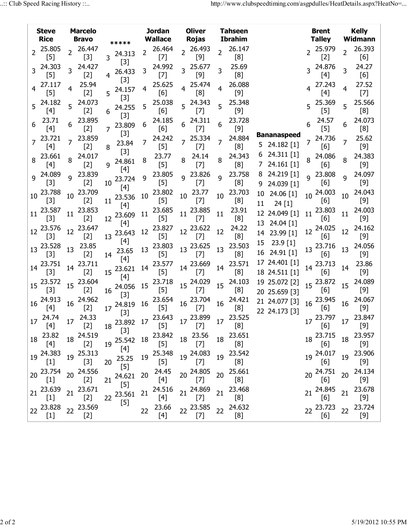|                 | <b>Steve</b><br><b>Rice</b>                                                                          |                 | <b>Marcelo</b><br><b>Bravo</b> |                |                           |    | <b>Jordan</b><br><b>Wallace</b>                                                                                                                                                                                                  |                | <b>Oliver</b><br><b>Rojas</b>                          |    | <b>Tahseen</b><br><b>Ibrahim</b> |    |                                    |    | <b>Brent</b><br><b>Talley</b>                           |                 | <b>Kelly</b><br>Widmann |
|-----------------|------------------------------------------------------------------------------------------------------|-----------------|--------------------------------|----------------|---------------------------|----|----------------------------------------------------------------------------------------------------------------------------------------------------------------------------------------------------------------------------------|----------------|--------------------------------------------------------|----|----------------------------------|----|------------------------------------|----|---------------------------------------------------------|-----------------|-------------------------|
|                 | 2 25.805                                                                                             | $\overline{2}$  | 26.447                         |                | *****                     |    | 26.464                                                                                                                                                                                                                           |                | 2 26.493                                               |    | 26.147                           |    |                                    |    | 25.979                                                  | $\overline{2}$  | 26.393                  |
|                 | $[5]$                                                                                                |                 | $[3]$                          |                | 3 24.313<br>$[3]$         |    | $[7]$                                                                                                                                                                                                                            |                | $[9]$                                                  |    | [8]                              |    |                                    |    | $[2]$                                                   |                 | [6]                     |
|                 | 3 24.303<br>$[5]$                                                                                    |                 | 24.427<br>$[2]$                | 4              | 26.433                    |    | 24.992<br>$[7]$                                                                                                                                                                                                                  |                | 3 25.677<br>$[9]$                                      | 3  | 25.69<br>[8]                     |    |                                    |    | 24.876<br>[4]                                           | 3               | 24.27<br>[6]            |
|                 | 4 27.117<br>$[5]$                                                                                    | 4               | 25.94<br>$[2]$                 |                | $[3]$<br>$5^{24.157}$     | 4  | 25.625<br>[6]                                                                                                                                                                                                                    |                | 25.474<br>[8]                                          | 4  | 26.088<br>$[9]$                  |    |                                    |    | 27.243<br>$[4]$                                         | 4               | 27.52<br>$[7]$          |
|                 | 5 24.182<br>$[4]$                                                                                    | 5               | 24.073<br>$[2]$                | 6              | $[3]$<br>24.255           |    | 25.038<br>[6]                                                                                                                                                                                                                    | 5 <sup>1</sup> | 24.343<br>$[7]$                                        | 5  | 25.348<br>$[9]$                  |    |                                    |    | 5 25.369<br>$[5]$                                       | 5               | 25.566<br>[8]           |
|                 | 23.71<br>[4]                                                                                         | 6               | 23.895<br>$[2]$                | $\overline{7}$ | $[3]$<br>23.809           | 6  | 24.185<br>[6]                                                                                                                                                                                                                    |                | 24.311<br>$[7]$                                        | 6  | 23.728<br>$[9]$                  |    |                                    | 6  | 24.57<br>$[5]$                                          | 6               | 24.073<br>[8]           |
|                 | 7 23.721<br>$[4]$                                                                                    | 7               | 23.859<br>$[2]$                | 8              | $[3]$<br>23.84            |    | 24.242<br>$[5]$                                                                                                                                                                                                                  | $\overline{7}$ | 25.334<br>$[7]$                                        |    | 24.884<br>[8]                    |    | <b>Bananaspeed</b><br>5 24.182 [1] |    | 7 24.736<br>[6]                                         | $\overline{7}$  | 25.62<br>$[9]$          |
| 8               | 23.661<br>[4]                                                                                        | 8               | 24.017<br>$[2]$                | q              | $[3]$<br>24.861           |    | 23.77<br>$[5]$                                                                                                                                                                                                                   | 8              | 24.14<br>$[7]$                                         | 8  | 24.343<br>[8]                    |    | 6 24.311 [1]<br>24.161 [1]         |    | 24.086<br>$[6]$                                         | 8               | 24.383<br>[9]           |
|                 | 9 24.089<br>$[3]$                                                                                    | 9               | 23.839<br>$[2]$                | 10             | $[4]$<br>23.724           | q  | 23.805<br>$[5]$                                                                                                                                                                                                                  | $\mathsf{q}$   | 23.826<br>$[7]$                                        | 9  | 23.758<br>[8]                    | 9  | 24.219 [1]<br>24.039 [1]           |    | q 23.808<br>[6]                                         | $\mathsf{Q}$    | 24.097<br>[9]           |
| 10 <sup>°</sup> | 23.788<br>$[3]$                                                                                      | 10              | 23.709<br>$[2]$                | 11             | $[4]$<br>23.536 10        |    | 23.802<br>$[5]$                                                                                                                                                                                                                  | 10             | 23.77<br>$[7]$                                         | 10 | 23.703<br>[8]                    | 11 | 10 24.06 [1]<br>24 [1]             |    | 10 24.003<br>[6]                                        | 10              | 24.043<br>$[9]$         |
| 11              | 23.587<br>$[3]$                                                                                      | 11              | 23.853<br>$[2]$                | 12             | $[4]$<br>23.609           | 11 | 23.685<br>$[5]$                                                                                                                                                                                                                  |                | 11 23.885<br>$[7]$                                     | 11 | 23.91<br>[8]                     |    | 12 24.049 [1]                      | 11 | 23.803<br>[6]                                           | 11              | 24.003<br>$[9]$         |
|                 | 12 23.576<br>$[3]$                                                                                   | 12              | 23.647<br>$[2]$                |                | $[4]$<br>13 23.643        | 12 | 23.827<br>$[5]$                                                                                                                                                                                                                  |                | 12 23.622<br>$[7]$                                     | 12 | 24.22<br>[8]                     |    | 13 24.04 [1]<br>14 23.99 [1]       | 12 | 24.025<br>[6]                                           | 12              | 24.162<br>$[9]$         |
|                 | 13 23.528<br>$[3]$                                                                                   | 13              | 23.85<br>$[2]$                 | 14             | $[4]$<br>23.65            | 13 | 23.803<br>$[5]$                                                                                                                                                                                                                  |                | 13 23.625<br>$[7]$                                     | 13 | 23.503<br>[8]                    |    | 15 23.9 [1]<br>16 24.91 [1]        |    | 23.716<br>[6]                                           | 13              | 24.056<br>$[9]$         |
|                 | 14 23.751<br>$[3]$                                                                                   | 14              | 23.711<br>$[2]$                |                | [4]<br>15 23.621 14       |    | 23.577<br>$[5]$                                                                                                                                                                                                                  |                | 14 23.669<br>$[7]$                                     | 14 | 23.571<br>[8]                    |    | 17 24.401 [1]<br>18 24.511 [1]     |    | 14 23.713<br>[6]                                        | 14              | 23.86<br>$[9]$          |
|                 | 15 23.572<br>$[3]$                                                                                   |                 | 15 23.604<br>$[2]$             | 16             | [4]<br>24.056 15<br>$[3]$ |    | 23.718<br>$[5]$                                                                                                                                                                                                                  |                | 15 24.029<br>$[7]$                                     |    | 15 24.103<br>[8]                 |    | 19 25.072 [2]<br>20 25.659 [3]     |    | 15 23.872<br>$[6]$                                      | 15              | 24.089<br>$[9]$         |
|                 | 16 24.913<br>$[4]$                                                                                   | 16              | 24.962<br>$[2]$                |                | 17 24.819 16<br>$[3]$     |    | 23.654<br>$[5]$                                                                                                                                                                                                                  |                | $16\begin{array}{c} 23.704 \\ 16 \end{array}$<br>$[7]$ | 16 | 24.421<br>[8]                    |    | 21 24.077 [3]<br>22 24.173 [3]     |    | 16 23.945<br>[6]                                        | 16              | 24.067<br>$[9]$         |
|                 | $17 \begin{array}{c} 24.74 \\ 17 \end{array}$ $17 \begin{array}{c} 24.33 \\ 17 \end{array}$<br>$[4]$ |                 | $[2]$                          |                | $[3]$                     |    | 18 23.892 17 23.643 17 23.899 17 23.525<br>$[5] % \begin{center} \includegraphics[width=\linewidth]{imagesSupplemental/Imit} \caption{The image shows the image shows a single number of times.} \label{fig:limal} \end{center}$ |                | $[7]$                                                  |    |                                  |    |                                    |    | $17\frac{23.797}{561}$ 17 $\frac{23.847}{501}$<br>$[6]$ |                 |                         |
| 18              | 23.82<br>$[4]$                                                                                       |                 | 18 24.519<br>$[2]$             |                | 19 25.542 18              |    | 23.842<br>$[5]$                                                                                                                                                                                                                  |                | 18 23.56<br>$[7]$                                      |    | 18 23.651<br>[8]                 |    |                                    |    | 18 23.715<br>$[6]$                                      |                 | 18 23.957<br>$[9]$      |
|                 | 19 24.383<br>$[1]$                                                                                   | 19              | 25.313<br>$[3]$                | 20             | 25.25<br>$[5]$            | 19 | 25.348<br>$[5]$                                                                                                                                                                                                                  | 19             | 24.083<br>$[7]$                                        |    | 19 23.542<br>[8]                 |    |                                    |    | 19 24.017<br>[6]                                        |                 | 19 23.906               |
|                 | 20 23.754<br>$[1]$                                                                                   | 20 <sub>2</sub> | 24.556<br>$[2]$                | 21             | 24.621<br>$[5]$           | 20 | 24.45<br>[4]                                                                                                                                                                                                                     |                | 20 24.805<br>$[7]$                                     |    | 20 25.661<br>[8]                 |    |                                    |    | 20 24.751<br>[6]                                        | 20 <sub>2</sub> | 24.134                  |
|                 | 21 23.639<br>$[1]$                                                                                   | 21              | 23.671<br>$[2]$                |                | 22 23.561<br>$[5]$        | 21 | 24.516<br>$[4]$                                                                                                                                                                                                                  |                | 21 24.869<br>$[7]$                                     | 21 | 23.468<br>[8]                    |    |                                    |    | 21 24.845<br>[6]                                        | 21              | 23.678                  |
|                 | 22 23.828<br>$[1]$                                                                                   |                 | 22 23.569<br>$[2]$             |                |                           | 22 | 23.66<br>$[4]$                                                                                                                                                                                                                   |                | 22 23.585<br>$[7]$                                     |    | 22 24.632<br>[8]                 |    |                                    |    | 23.723<br>[6]                                           |                 | 22 23.724               |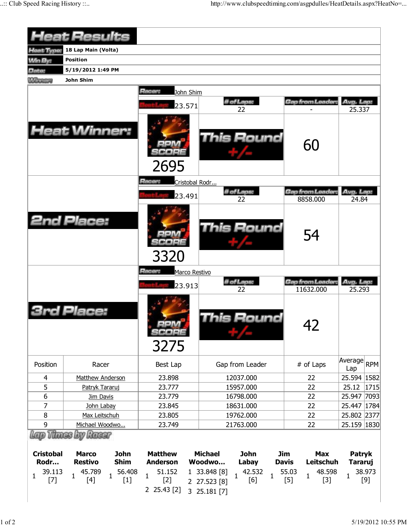|                  | <b>Heat Results</b>                               |                                   |                               |                               |                     |
|------------------|---------------------------------------------------|-----------------------------------|-------------------------------|-------------------------------|---------------------|
| Heat Type:       | 18 Lap Main (Volta)                               |                                   |                               |                               |                     |
| <b>Min By:</b>   | <b>Position</b>                                   |                                   |                               |                               |                     |
| Date:            | 5/19/2012 1:49 PM                                 |                                   |                               |                               |                     |
| <b>Winnipeg</b>  | John Shim                                         |                                   |                               |                               |                     |
|                  |                                                   | Racer:                            |                               |                               |                     |
|                  |                                                   | John Shim                         |                               |                               |                     |
|                  |                                                   | 23.571                            | # of Laps:<br>22              | Gap from Leader:              | Avg. Lap:<br>25.337 |
|                  | <b>Heat Winner:</b>                               | 2695                              | <b>This Round</b>             | 60                            |                     |
|                  |                                                   | Racer:<br>Cristobal Rodr          |                               |                               |                     |
|                  |                                                   | 23.491                            | # of Laps:<br>22              | Gap from Leader:<br>8858.000  | Avg. Lap:<br>24.84  |
|                  | <b>2nd Place:</b>                                 | 3320                              | This Round                    | 54                            |                     |
|                  |                                                   | Racer:<br>Marco Restivo<br>23.913 | # of Laps:<br>22              | Gap from Leader:<br>11632.000 | Avg. Lap:<br>25.293 |
|                  | <i><b>I Place:</b></i>                            | SCOPE<br>3275                     | his Round                     | 42                            |                     |
| Position         | Racer                                             | Best Lap                          | Gap from Leader               | # of Laps                     | Average RPM<br>Lap  |
| 4                | Matthew Anderson                                  | 23.898                            | 12037.000                     | 22                            | 25.594 1582         |
| 5                | Patryk Tararuj                                    | 23.777                            | 15957.000                     | 22                            | 25.12<br> 1715      |
| 6                | Jim Davis                                         | 23.779                            | 16798.000                     | 22                            | 25.947 7093         |
| 7                | John Labay                                        | 23.845                            | 18631.000                     | 22                            | 25.447   1784       |
| 8                | Max Leitschuh                                     | 23.805                            | 19762.000                     | 22                            | 25.802 2377         |
| 9                | Michael Woodwo                                    | 23.749                            | 21763.000                     | 22                            | 25.159 1830         |
| <b>Cristobal</b> | Lap Thues by Racer<br><b>Marco</b><br><b>John</b> | <b>Matthew</b>                    | <b>John</b><br><b>Michael</b> | <b>Jim</b><br><b>Max</b>      | Patryk              |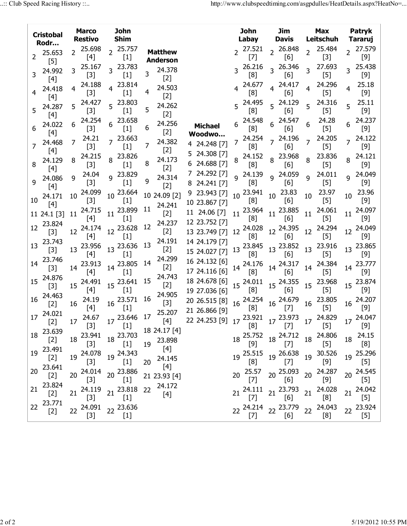|                | <b>Cristobal</b>   |                | <b>Marco</b><br><b>Restivo</b> |                | <b>John</b><br><b>Shim</b>                                                                          |    |                            |                                                                                                                  |    | John<br>Labay                                                                                      | Jim<br><b>Davis</b>   |                | Max<br>Leitschuh   |                  | Patryk<br>Tararuj                                                                                                                                                                                  |
|----------------|--------------------|----------------|--------------------------------|----------------|-----------------------------------------------------------------------------------------------------|----|----------------------------|------------------------------------------------------------------------------------------------------------------|----|----------------------------------------------------------------------------------------------------|-----------------------|----------------|--------------------|------------------|----------------------------------------------------------------------------------------------------------------------------------------------------------------------------------------------------|
|                | Rodr               |                |                                |                |                                                                                                     |    |                            |                                                                                                                  |    |                                                                                                    |                       |                | 25.484             |                  |                                                                                                                                                                                                    |
| $\overline{2}$ | 25.653<br>$[5]$    | $\overline{2}$ | 25.698<br>$[4]$                | $\overline{2}$ | 25.757<br>$[1]$                                                                                     |    | <b>Matthew</b><br>Anderson |                                                                                                                  |    | $2^{27.521}$<br>$[7]$                                                                              | 2 26.848<br>[6]       | $\overline{2}$ | $[3]$              |                  | 2 27.579<br>$[9]$                                                                                                                                                                                  |
|                | 24.992<br>$[4]$    |                | 25.167<br>$[3]$                |                | 3 23.783<br>$[1]$                                                                                   | 3  | 24.378<br>$[2]$            |                                                                                                                  |    | 3 26.216<br>[8]                                                                                    | 3 26.346<br>[6]       | $\overline{3}$ | 27.693<br>$[5]$    |                  | 3 25.438<br>$[9]$                                                                                                                                                                                  |
|                | 24.418<br>$[4]$    | 4              | 24.188<br>$[3]$                |                | 4 23.814<br>$[1]$                                                                                   | 4  | 24.503<br>$[2]$            |                                                                                                                  |    | 24.677<br>[8]                                                                                      | 4 24.417<br>[6]       | 4              | 24.296<br>$[5]$    | 4                | 25.18<br>$[9]$                                                                                                                                                                                     |
| 5              | 24.287<br>$[4]$    | 5              | 24.427<br>$[3]$                |                | $5^{23.803}$<br>$[1]$                                                                               | 5  | 24.262<br>$[2]$            |                                                                                                                  |    | 5 24.495<br>[8]                                                                                    | 5 24.129<br>[6]       | 5              | 24.316<br>$[5]$    | 5 <sup>1</sup>   | 25.11<br>$[9]$                                                                                                                                                                                     |
|                | 24.022<br>$[4]$    | 6              | 24.254<br>$[3]$                | 6              | 23.658<br>$[1]$                                                                                     | 6  | 24.256<br>$[2]$            | <b>Michael</b><br>Woodwo                                                                                         |    | 24.548<br>[8]                                                                                      | $6^{24.547}$<br>[6]   | 6              | 24.28<br>$[5]$     | 6                | 24.237<br>$[9]$                                                                                                                                                                                    |
|                | 24.468<br>$[4]$    |                | 24.21<br>$[3]$                 |                | $7^{23.663}$<br>$[1]$                                                                               | 7  | 24.382<br>$[2]$            | 4 24.248 [7]                                                                                                     |    | 7 24.254<br>[8]                                                                                    | $7^{24.196}$<br>[6]   | $\overline{7}$ | 24.205<br>$[5]$    |                  | $7^{24.122}$<br>$[9]$                                                                                                                                                                              |
| 8              | 24.129<br>$[4]$    | 8              | 24.215<br>$[3]$                |                | 8 23.826<br>$[1]$                                                                                   | 8  | 24.173<br>$[2]$            | 5 24.308 [7]<br>6 24.688 [7]                                                                                     |    | 24.152<br>[8]                                                                                      | 8 23.968<br>[6]       | 8              | 23.836<br>$[5]$    | 8                | 24.121<br>$[9]$                                                                                                                                                                                    |
|                | 9 24.086<br>$[4]$  | 9              | 24.04<br>$[3]$                 |                | 9 23.829<br>$[1]$                                                                                   | 9  | 24.314<br>$[2]$            | 7 24.292 [7]<br>8 24.241 [7]                                                                                     |    | $Q^2$ 24.139<br>[8]                                                                                | $9^{24.059}$<br>$[6]$ | $\overline{9}$ | 24.011<br>$[5]$    |                  | g 24.049<br>$[9]$                                                                                                                                                                                  |
| 10             | 24.171<br>$[4]$    | 10             | 24.099<br>$[3]$                | 10             | 23.664<br>$[1]$                                                                                     |    | 10 24.09 [2]<br>24.241     | 9 23.943 [7]<br>10 23.867 [7]                                                                                    |    | 10 23.941<br>[8]                                                                                   | $10^{23.83}$<br>$[6]$ | 10             | 23.97<br>$[5]$     | 10               | 23.96<br>$[9]$                                                                                                                                                                                     |
|                | 11 24.1 [3]        | 11             | 24.715<br>$[4]$                |                | 11 23.899<br>$[1]$                                                                                  | 11 | $[2]$                      | 11 24.06 [7]<br>12 23.752 [7]                                                                                    |    | $11^{23.964}$ $11^{23.885}$<br>[8]                                                                 | $[6]$                 | 11             | 24.061<br>$[5]$    |                  | 11 24.097<br>$[9]$                                                                                                                                                                                 |
| 12             | 23.824<br>$[3]$    | 12             | 24.174<br>$[4]$                |                | $12^{23.628}$ 12<br>$[1]$                                                                           |    | 24.237<br>$[2]$            | 13 23.749 [7]                                                                                                    |    | 24.028 $12^{24.395}$<br>12 $\sim$ [8]                                                              | [6]                   | 12             | 24.294<br>$[5]$    | 12 <sup>12</sup> | 24.049<br>$[9]$                                                                                                                                                                                    |
|                | 13 23.743<br>$[3]$ | 13             | 23.956<br>$[4]$                |                | 13 23.636 13<br>$[1]$                                                                               |    | 24.191<br>[2]              | 14 24.179 [7]<br>15 24.027 [7]                                                                                   |    | $13\begin{array}{l} 23.845 \\ 13\end{array}$ $13\begin{array}{l} 23.852 \\ 13\end{array}$<br>[8]   | [6]                   |                | 13 23.916<br>$[5]$ |                  | 13 23.865<br>$[9]$                                                                                                                                                                                 |
| 14             | 23.746<br>$[3]$    | 14             | 23.913<br>$[4]$                |                | 14 23.805<br>$[1]$                                                                                  | 14 | 24.299<br>$[2]$            | 16 24.132 [6]<br>17 24.116 [6]                                                                                   |    | 14 24.176<br>[8]                                                                                   | 14 24.317<br>[6]      | 14             | 24.384<br>$[5]$    |                  | 14 23.777<br>$[9]$                                                                                                                                                                                 |
|                | 15 24.876<br>$[3]$ | 15             | 24.491<br>$[4]$                |                | 15 23.641<br>$[1]$                                                                                  | 15 | 24.743<br>$[2]$            | 18 24.678 [6]<br>19 27.036 [6]                                                                                   |    | $15\begin{array}{c} 24.011 \\ 15 \end{array}$ $15\begin{array}{c} 24.355 \\ 15 \end{array}$<br>[8] | $[6]$                 |                | 15 23.968<br>$[5]$ |                  | 15 23.874<br>[9]                                                                                                                                                                                   |
| 16             | 24.463<br>$[2]$    | 16             | 24.19<br>$[4]$                 |                | $16\begin{array}{l} 23.571 \end{array}$ 16<br>$[1]$                                                 |    | 24.905<br>$[3]$            | 20 26.515 [8] 16 <sup>24.254</sup> 16 <sup>24.679</sup><br>21 26.866 [9] [8] <sup>[8]</sup> [7]<br>21 26.866 [9] |    |                                                                                                    |                       |                | 16 23.805<br>$[5]$ |                  | 16 24.207<br>$[9]$                                                                                                                                                                                 |
|                | 17 24.021<br>$[2]$ |                | $[3]$                          |                | $17\begin{array}{cc} 24.67 \\ 17\end{array}$ $17\begin{array}{cc} 23.646 \\ 17\end{array}$<br>$[1]$ |    | 25.207<br>[4]              | 22 24.253 [9] 17 <sup>23.921</sup> 17 <sup>23.973</sup> 17 <sup>24.829</sup> 17 <sup>24.047</sup>                |    | $[8]$                                                                                              | $[7]$                 |                | $[5]$              |                  | $[9]$                                                                                                                                                                                              |
| 18             | 23.639<br>[2]      | 18             | 23.941<br>$[3]$                |                | 18 23.703<br>$[1]$                                                                                  |    | 18 24.17 [4]<br>19 23.898  |                                                                                                                  |    | 18 25.752 18 24.712<br>$[9]$                                                                       | $[7]$                 |                | 18 24.806<br>$[5]$ |                  | 18 24.15<br>[8]                                                                                                                                                                                    |
|                | 19 23.491<br>$[2]$ | 19             | 24.078<br>$[3]$                |                | 19 24.343<br>$[1]$                                                                                  | 20 | $[4]$<br>24.145            |                                                                                                                  | 19 | 25.515 $19^{26.638}$<br>[8]                                                                        | $[7]$                 |                | 19 30.526<br>$[9]$ |                  | 19 25.296<br>$[5]$                                                                                                                                                                                 |
| 20             | 23.641<br>$[2]$    | 20             | 24.014<br>$[3]$                |                | 20 23.886                                                                                           |    | $[4]$<br>21 23.93 [4]      |                                                                                                                  |    | 20 25.57<br>$[7]$                                                                                  | 20 25.093<br>[6]      | $20\,$         | 24.287             |                  | 20 24.545<br>$[5] % \begin{center} \includegraphics[width=\linewidth]{imagesSupplemental/Imit} \caption{The image shows the image shows a single number of times.} \label{fig:limal} \end{center}$ |
| 21             | 23.824<br>$[2]$    | 21             | 24.119<br>$[3]$                |                | 21 23.818<br>$[1]$                                                                                  | 22 | 24.172<br>$[4]$            |                                                                                                                  |    | $21 \begin{array}{c} 24.111 \\ -71 \end{array}$ 21 $23.793$<br>$[7]$                               | [6]                   | 21             | 24.028<br>[8]      |                  | 21 24.042                                                                                                                                                                                          |
| 22             | 23.771<br>$[2]$    | 22             | 24.091<br>$[3]$                |                | 22 23.636<br>$[1]$                                                                                  |    |                            |                                                                                                                  | 22 | 24.214 22 23.779<br>$[7]$                                                                          | [6]                   |                | 22 24.043<br>[8]   |                  | 22 23.924<br>$[5]$                                                                                                                                                                                 |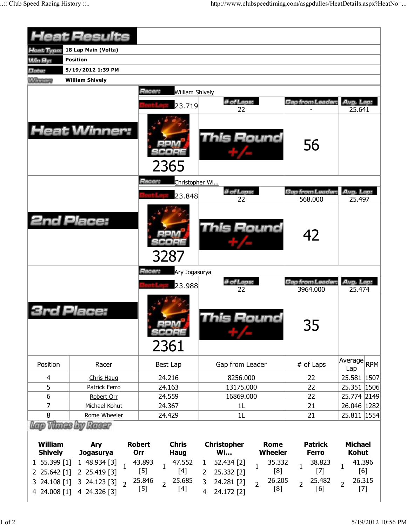|                                                  | <b>Heat Results</b>              |                                                                         |                                                                                                   |                                          |                                                                                         |
|--------------------------------------------------|----------------------------------|-------------------------------------------------------------------------|---------------------------------------------------------------------------------------------------|------------------------------------------|-----------------------------------------------------------------------------------------|
| <b>Heat Type:</b>                                | 18 Lap Main (Volta)              |                                                                         |                                                                                                   |                                          |                                                                                         |
| <b>Win By:</b>                                   | <b>Position</b>                  |                                                                         |                                                                                                   |                                          |                                                                                         |
| Date:                                            | 5/19/2012 1:39 PM                |                                                                         |                                                                                                   |                                          |                                                                                         |
| <b>Winning</b>                                   | <b>William Shively</b>           |                                                                         |                                                                                                   |                                          |                                                                                         |
|                                                  |                                  | Racer:<br><b>William Shively</b>                                        |                                                                                                   |                                          |                                                                                         |
|                                                  |                                  | 23.719                                                                  | # of Laps:                                                                                        | Gap from Leader:                         | Avg. Lap:                                                                               |
|                                                  | <b>Heat Winner:</b>              | 2365                                                                    | 22<br><b>This Round</b>                                                                           | 56                                       | 25.641                                                                                  |
|                                                  |                                  | Racer:<br>Christopher Wi                                                |                                                                                                   |                                          |                                                                                         |
|                                                  |                                  |                                                                         | # of Laps:                                                                                        | <b>Gap from Leader:</b>                  | Avg. Lap:                                                                               |
|                                                  | <b>2nd Place:</b>                | 23.848<br>3287                                                          | 22<br><b>This Round</b>                                                                           | 568.000<br>42                            | 25.497                                                                                  |
|                                                  |                                  | <b>Hacer:</b><br>Ary Jogasurya<br>23.988                                | # of Laps:<br>22                                                                                  | Gap from Leader:<br>3964.000             | Avg. Lap:<br>25.474                                                                     |
|                                                  | Place:                           | 2361                                                                    | his Round                                                                                         | 35                                       |                                                                                         |
|                                                  |                                  |                                                                         |                                                                                                   |                                          |                                                                                         |
| Position                                         | Racer                            | Best Lap                                                                | Gap from Leader                                                                                   | # of Laps                                | Average<br><b>RPM</b><br>Lap                                                            |
| 4                                                | <b>Chris Haug</b>                | 24.216                                                                  | 8256.000                                                                                          | 22                                       |                                                                                         |
| 5                                                | Patrick Ferro                    | 24.163                                                                  | 13175.000                                                                                         | 22                                       |                                                                                         |
| 6                                                | Robert Orr                       | 24.559                                                                  | 16869.000                                                                                         | 22                                       |                                                                                         |
| 7                                                | Michael Kohut                    | 24.367                                                                  | 1L                                                                                                | 21                                       |                                                                                         |
| 8                                                | Rome Wheeler                     | 24.429                                                                  | 1 <sub>L</sub>                                                                                    | 21                                       |                                                                                         |
|                                                  | Lap Thaes by Racer               |                                                                         |                                                                                                   |                                          |                                                                                         |
| <b>William</b><br><b>Shively</b><br>1 55.399 [1] | Ary<br>Jogasurya<br>1 48.934 [3] | <b>Robert</b><br><b>Chris</b><br>Orr<br><b>Haug</b><br>43.893<br>47.552 | <b>Christopher</b><br><b>Rome</b><br>Wi<br><b>Wheeler</b><br>52.434 [2]<br>35.332<br>$\mathbf{1}$ | <b>Patrick</b><br><b>Ferro</b><br>38.823 | <b>Michael</b><br><b>Kohut</b><br>41.396                                                |
| 2 25.642 [1]                                     | $\mathbf{1}$<br>2 25.419 [3]     | $\mathbf{1}$<br>$[4]$<br>$[5]$                                          | $\mathbf{1}$<br>[8]<br>25.332 [2]<br>2                                                            | $\mathbf{1}$<br>$[7]$                    | 25.581 1507<br>25.351 1506<br>25.774 2149<br>26.046   1282<br>25.811   1554<br>1<br>[6] |